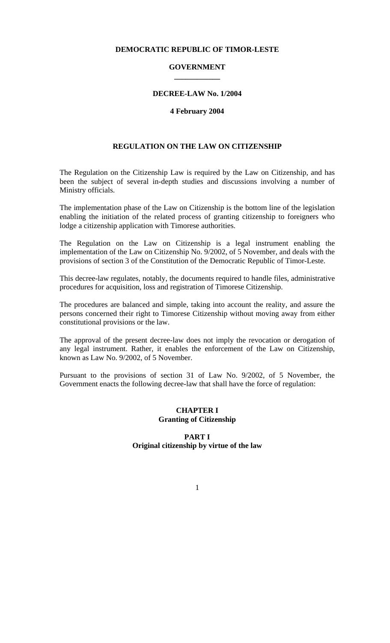### **DEMOCRATIC REPUBLIC OF TIMOR-LESTE**

## **GOVERNMENT \_\_\_\_\_\_\_\_\_\_\_\_**

#### **DECREE-LAW No. 1/2004**

#### **4 February 2004**

### **REGULATION ON THE LAW ON CITIZENSHIP**

The Regulation on the Citizenship Law is required by the Law on Citizenship, and has been the subject of several in-depth studies and discussions involving a number of Ministry officials.

The implementation phase of the Law on Citizenship is the bottom line of the legislation enabling the initiation of the related process of granting citizenship to foreigners who lodge a citizenship application with Timorese authorities.

The Regulation on the Law on Citizenship is a legal instrument enabling the implementation of the Law on Citizenship No. 9/2002, of 5 November, and deals with the provisions of section 3 of the Constitution of the Democratic Republic of Timor-Leste.

This decree-law regulates, notably, the documents required to handle files, administrative procedures for acquisition, loss and registration of Timorese Citizenship.

The procedures are balanced and simple, taking into account the reality, and assure the persons concerned their right to Timorese Citizenship without moving away from either constitutional provisions or the law.

The approval of the present decree-law does not imply the revocation or derogation of any legal instrument. Rather, it enables the enforcement of the Law on Citizenship, known as Law No. 9/2002, of 5 November.

Pursuant to the provisions of section 31 of Law No. 9/2002, of 5 November, the Government enacts the following decree-law that shall have the force of regulation:

### **CHAPTER I Granting of Citizenship**

#### **PART I Original citizenship by virtue of the law**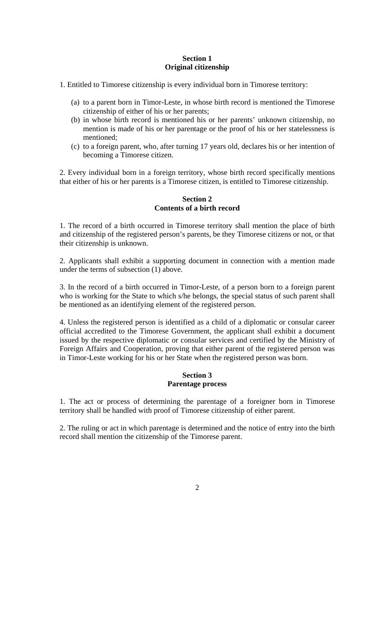### **Section 1 Original citizenship**

- 1. Entitled to Timorese citizenship is every individual born in Timorese territory:
	- (a) to a parent born in Timor-Leste, in whose birth record is mentioned the Timorese citizenship of either of his or her parents;
	- (b) in whose birth record is mentioned his or her parents' unknown citizenship, no mention is made of his or her parentage or the proof of his or her statelessness is mentioned;
	- (c) to a foreign parent, who, after turning 17 years old, declares his or her intention of becoming a Timorese citizen.

2. Every individual born in a foreign territory, whose birth record specifically mentions that either of his or her parents is a Timorese citizen, is entitled to Timorese citizenship.

#### **Section 2 Contents of a birth record**

1. The record of a birth occurred in Timorese territory shall mention the place of birth and citizenship of the registered person's parents, be they Timorese citizens or not, or that their citizenship is unknown.

2. Applicants shall exhibit a supporting document in connection with a mention made under the terms of subsection (1) above.

3. In the record of a birth occurred in Timor-Leste, of a person born to a foreign parent who is working for the State to which s/he belongs, the special status of such parent shall be mentioned as an identifying element of the registered person.

4. Unless the registered person is identified as a child of a diplomatic or consular career official accredited to the Timorese Government, the applicant shall exhibit a document issued by the respective diplomatic or consular services and certified by the Ministry of Foreign Affairs and Cooperation, proving that either parent of the registered person was in Timor-Leste working for his or her State when the registered person was born.

### **Section 3 Parentage process**

1. The act or process of determining the parentage of a foreigner born in Timorese territory shall be handled with proof of Timorese citizenship of either parent.

2. The ruling or act in which parentage is determined and the notice of entry into the birth record shall mention the citizenship of the Timorese parent.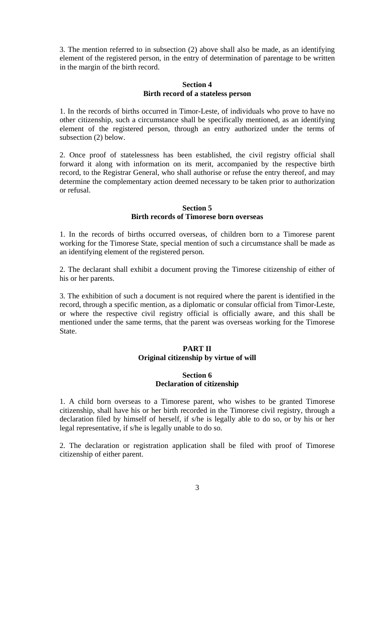3. The mention referred to in subsection (2) above shall also be made, as an identifying element of the registered person, in the entry of determination of parentage to be written in the margin of the birth record.

### **Section 4 Birth record of a stateless person**

1. In the records of births occurred in Timor-Leste, of individuals who prove to have no other citizenship, such a circumstance shall be specifically mentioned, as an identifying element of the registered person, through an entry authorized under the terms of subsection (2) below.

2. Once proof of statelessness has been established, the civil registry official shall forward it along with information on its merit, accompanied by the respective birth record, to the Registrar General, who shall authorise or refuse the entry thereof, and may determine the complementary action deemed necessary to be taken prior to authorization or refusal.

### **Section 5 Birth records of Timorese born overseas**

1. In the records of births occurred overseas, of children born to a Timorese parent working for the Timorese State, special mention of such a circumstance shall be made as an identifying element of the registered person.

2. The declarant shall exhibit a document proving the Timorese citizenship of either of his or her parents.

3. The exhibition of such a document is not required where the parent is identified in the record, through a specific mention, as a diplomatic or consular official from Timor-Leste, or where the respective civil registry official is officially aware, and this shall be mentioned under the same terms, that the parent was overseas working for the Timorese State.

#### **PART II Original citizenship by virtue of will**

## **Section 6 Declaration of citizenship**

1. A child born overseas to a Timorese parent, who wishes to be granted Timorese citizenship, shall have his or her birth recorded in the Timorese civil registry, through a declaration filed by himself of herself, if s/he is legally able to do so, or by his or her legal representative, if s/he is legally unable to do so.

2. The declaration or registration application shall be filed with proof of Timorese citizenship of either parent.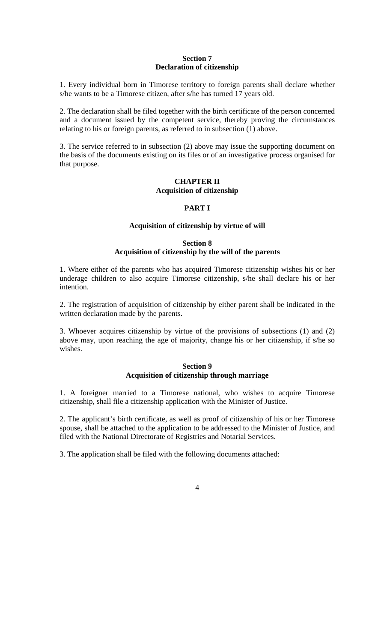### **Section 7 Declaration of citizenship**

1. Every individual born in Timorese territory to foreign parents shall declare whether s/he wants to be a Timorese citizen, after s/he has turned 17 years old.

2. The declaration shall be filed together with the birth certificate of the person concerned and a document issued by the competent service, thereby proving the circumstances relating to his or foreign parents, as referred to in subsection (1) above.

3. The service referred to in subsection (2) above may issue the supporting document on the basis of the documents existing on its files or of an investigative process organised for that purpose.

# **CHAPTER II Acquisition of citizenship**

# **PART I**

# **Acquisition of citizenship by virtue of will**

# **Section 8 Acquisition of citizenship by the will of the parents**

1. Where either of the parents who has acquired Timorese citizenship wishes his or her underage children to also acquire Timorese citizenship, s/he shall declare his or her intention.

2. The registration of acquisition of citizenship by either parent shall be indicated in the written declaration made by the parents.

3. Whoever acquires citizenship by virtue of the provisions of subsections (1) and (2) above may, upon reaching the age of majority, change his or her citizenship, if s/he so wishes.

## **Section 9 Acquisition of citizenship through marriage**

1. A foreigner married to a Timorese national, who wishes to acquire Timorese citizenship, shall file a citizenship application with the Minister of Justice.

2. The applicant's birth certificate, as well as proof of citizenship of his or her Timorese spouse, shall be attached to the application to be addressed to the Minister of Justice, and filed with the National Directorate of Registries and Notarial Services.

3. The application shall be filed with the following documents attached: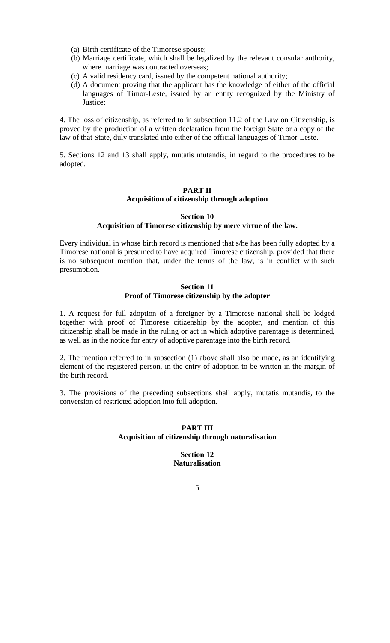- (a) Birth certificate of the Timorese spouse;
- (b) Marriage certificate, which shall be legalized by the relevant consular authority, where marriage was contracted overseas;
- (c) A valid residency card, issued by the competent national authority;
- (d) A document proving that the applicant has the knowledge of either of the official languages of Timor-Leste, issued by an entity recognized by the Ministry of Justice;

4. The loss of citizenship, as referred to in subsection 11.2 of the Law on Citizenship, is proved by the production of a written declaration from the foreign State or a copy of the law of that State, duly translated into either of the official languages of Timor-Leste.

5. Sections 12 and 13 shall apply, mutatis mutandis, in regard to the procedures to be adopted.

#### **PART II Acquisition of citizenship through adoption**

#### **Section 10 Acquisition of Timorese citizenship by mere virtue of the law.**

Every individual in whose birth record is mentioned that s/he has been fully adopted by a Timorese national is presumed to have acquired Timorese citizenship, provided that there is no subsequent mention that, under the terms of the law, is in conflict with such presumption.

### **Section 11 Proof of Timorese citizenship by the adopter**

1. A request for full adoption of a foreigner by a Timorese national shall be lodged together with proof of Timorese citizenship by the adopter, and mention of this citizenship shall be made in the ruling or act in which adoptive parentage is determined, as well as in the notice for entry of adoptive parentage into the birth record.

2. The mention referred to in subsection (1) above shall also be made, as an identifying element of the registered person, in the entry of adoption to be written in the margin of the birth record.

3. The provisions of the preceding subsections shall apply, mutatis mutandis, to the conversion of restricted adoption into full adoption.

### **PART III Acquisition of citizenship through naturalisation**

# **Section 12 Naturalisation**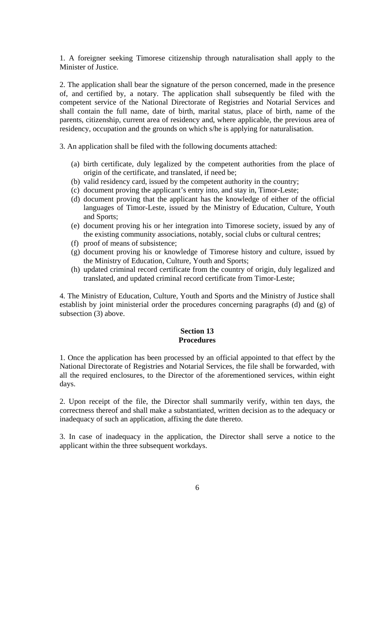1. A foreigner seeking Timorese citizenship through naturalisation shall apply to the Minister of Justice.

2. The application shall bear the signature of the person concerned, made in the presence of, and certified by, a notary. The application shall subsequently be filed with the competent service of the National Directorate of Registries and Notarial Services and shall contain the full name, date of birth, marital status, place of birth, name of the parents, citizenship, current area of residency and, where applicable, the previous area of residency, occupation and the grounds on which s/he is applying for naturalisation.

3. An application shall be filed with the following documents attached:

- (a) birth certificate, duly legalized by the competent authorities from the place of origin of the certificate, and translated, if need be;
- (b) valid residency card, issued by the competent authority in the country;
- (c) document proving the applicant's entry into, and stay in, Timor-Leste;
- (d) document proving that the applicant has the knowledge of either of the official languages of Timor-Leste, issued by the Ministry of Education, Culture, Youth and Sports;
- (e) document proving his or her integration into Timorese society, issued by any of the existing community associations, notably, social clubs or cultural centres;
- (f) proof of means of subsistence;
- (g) document proving his or knowledge of Timorese history and culture, issued by the Ministry of Education, Culture, Youth and Sports;
- (h) updated criminal record certificate from the country of origin, duly legalized and translated, and updated criminal record certificate from Timor-Leste;

4. The Ministry of Education, Culture, Youth and Sports and the Ministry of Justice shall establish by joint ministerial order the procedures concerning paragraphs (d) and (g) of subsection (3) above.

### **Section 13 Procedures**

1. Once the application has been processed by an official appointed to that effect by the National Directorate of Registries and Notarial Services, the file shall be forwarded, with all the required enclosures, to the Director of the aforementioned services, within eight days.

2. Upon receipt of the file, the Director shall summarily verify, within ten days, the correctness thereof and shall make a substantiated, written decision as to the adequacy or inadequacy of such an application, affixing the date thereto.

3. In case of inadequacy in the application, the Director shall serve a notice to the applicant within the three subsequent workdays.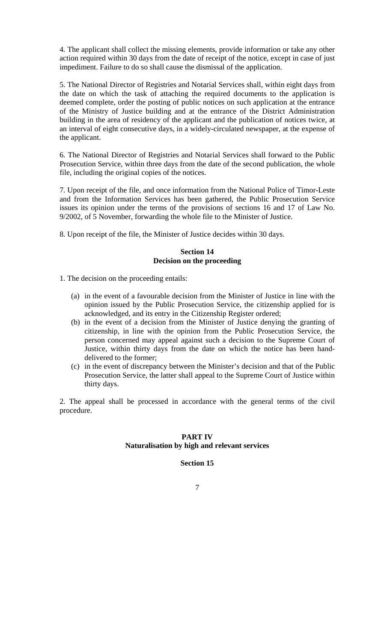4. The applicant shall collect the missing elements, provide information or take any other action required within 30 days from the date of receipt of the notice, except in case of just impediment. Failure to do so shall cause the dismissal of the application.

5. The National Director of Registries and Notarial Services shall, within eight days from the date on which the task of attaching the required documents to the application is deemed complete, order the posting of public notices on such application at the entrance of the Ministry of Justice building and at the entrance of the District Administration building in the area of residency of the applicant and the publication of notices twice, at an interval of eight consecutive days, in a widely-circulated newspaper, at the expense of the applicant.

6. The National Director of Registries and Notarial Services shall forward to the Public Prosecution Service, within three days from the date of the second publication, the whole file, including the original copies of the notices.

7. Upon receipt of the file, and once information from the National Police of Timor-Leste and from the Information Services has been gathered, the Public Prosecution Service issues its opinion under the terms of the provisions of sections 16 and 17 of Law No. 9/2002, of 5 November, forwarding the whole file to the Minister of Justice.

8. Upon receipt of the file, the Minister of Justice decides within 30 days.

### **Section 14 Decision on the proceeding**

1. The decision on the proceeding entails:

- (a) in the event of a favourable decision from the Minister of Justice in line with the opinion issued by the Public Prosecution Service, the citizenship applied for is acknowledged, and its entry in the Citizenship Register ordered;
- (b) in the event of a decision from the Minister of Justice denying the granting of citizenship, in line with the opinion from the Public Prosecution Service, the person concerned may appeal against such a decision to the Supreme Court of Justice, within thirty days from the date on which the notice has been handdelivered to the former;
- (c) in the event of discrepancy between the Minister's decision and that of the Public Prosecution Service, the latter shall appeal to the Supreme Court of Justice within thirty days.

2. The appeal shall be processed in accordance with the general terms of the civil procedure.

### **PART IV Naturalisation by high and relevant services**

## **Section 15**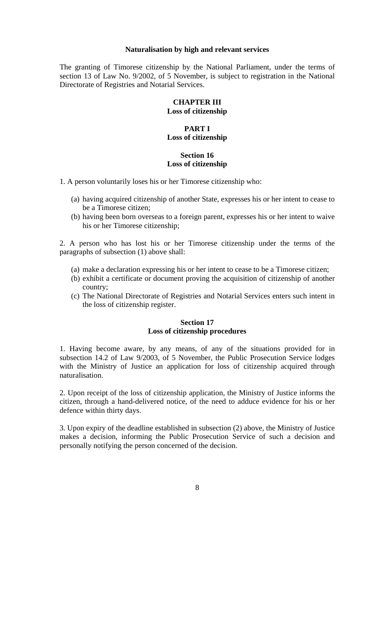## **Naturalisation by high and relevant services**

The granting of Timorese citizenship by the National Parliament, under the terms of section 13 of Law No. 9/2002, of 5 November, is subject to registration in the National Directorate of Registries and Notarial Services.

### **CHAPTER III Loss of citizenship**

## **PART I Loss of citizenship**

## **Section 16 Loss of citizenship**

1. A person voluntarily loses his or her Timorese citizenship who:

- (a) having acquired citizenship of another State, expresses his or her intent to cease to be a Timorese citizen;
- (b) having been born overseas to a foreign parent, expresses his or her intent to waive his or her Timorese citizenship;

2. A person who has lost his or her Timorese citizenship under the terms of the paragraphs of subsection (1) above shall:

- (a) make a declaration expressing his or her intent to cease to be a Timorese citizen;
- (b) exhibit a certificate or document proving the acquisition of citizenship of another country;
- (c) The National Directorate of Registries and Notarial Services enters such intent in the loss of citizenship register.

### **Section 17 Loss of citizenship procedures**

1. Having become aware, by any means, of any of the situations provided for in subsection 14.2 of Law 9/2003, of 5 November, the Public Prosecution Service lodges with the Ministry of Justice an application for loss of citizenship acquired through naturalisation.

2. Upon receipt of the loss of citizenship application, the Ministry of Justice informs the citizen, through a hand-delivered notice, of the need to adduce evidence for his or her defence within thirty days.

3. Upon expiry of the deadline established in subsection (2) above, the Ministry of Justice makes a decision, informing the Public Prosecution Service of such a decision and personally notifying the person concerned of the decision.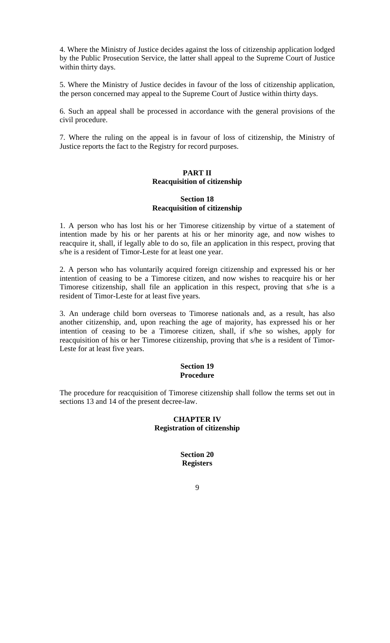4. Where the Ministry of Justice decides against the loss of citizenship application lodged by the Public Prosecution Service, the latter shall appeal to the Supreme Court of Justice within thirty days.

5. Where the Ministry of Justice decides in favour of the loss of citizenship application, the person concerned may appeal to the Supreme Court of Justice within thirty days.

6. Such an appeal shall be processed in accordance with the general provisions of the civil procedure.

7. Where the ruling on the appeal is in favour of loss of citizenship, the Ministry of Justice reports the fact to the Registry for record purposes.

### **PART II Reacquisition of citizenship**

## **Section 18 Reacquisition of citizenship**

1. A person who has lost his or her Timorese citizenship by virtue of a statement of intention made by his or her parents at his or her minority age, and now wishes to reacquire it, shall, if legally able to do so, file an application in this respect, proving that s/he is a resident of Timor-Leste for at least one year.

2. A person who has voluntarily acquired foreign citizenship and expressed his or her intention of ceasing to be a Timorese citizen, and now wishes to reacquire his or her Timorese citizenship, shall file an application in this respect, proving that s/he is a resident of Timor-Leste for at least five years.

3. An underage child born overseas to Timorese nationals and, as a result, has also another citizenship, and, upon reaching the age of majority, has expressed his or her intention of ceasing to be a Timorese citizen, shall, if s/he so wishes, apply for reacquisition of his or her Timorese citizenship, proving that s/he is a resident of Timor-Leste for at least five years.

### **Section 19 Procedure**

The procedure for reacquisition of Timorese citizenship shall follow the terms set out in sections 13 and 14 of the present decree-law.

# **CHAPTER IV Registration of citizenship**

## **Section 20 Registers**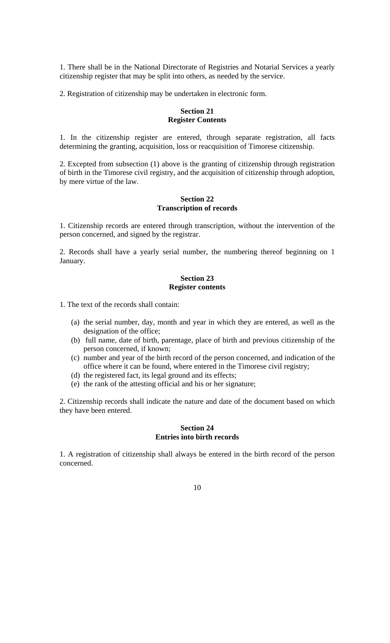1. There shall be in the National Directorate of Registries and Notarial Services a yearly citizenship register that may be split into others, as needed by the service.

2. Registration of citizenship may be undertaken in electronic form.

# **Section 21 Register Contents**

1. In the citizenship register are entered, through separate registration, all facts determining the granting, acquisition, loss or reacquisition of Timorese citizenship.

2. Excepted from subsection (1) above is the granting of citizenship through registration of birth in the Timorese civil registry, and the acquisition of citizenship through adoption, by mere virtue of the law.

### **Section 22 Transcription of records**

1. Citizenship records are entered through transcription, without the intervention of the person concerned, and signed by the registrar.

2. Records shall have a yearly serial number, the numbering thereof beginning on 1 January.

#### **Section 23 Register contents**

1. The text of the records shall contain:

- (a) the serial number, day, month and year in which they are entered, as well as the designation of the office;
- (b) full name, date of birth, parentage, place of birth and previous citizenship of the person concerned, if known;
- (c) number and year of the birth record of the person concerned, and indication of the office where it can be found, where entered in the Timorese civil registry;
- (d) the registered fact, its legal ground and its effects;
- (e) the rank of the attesting official and his or her signature;

2. Citizenship records shall indicate the nature and date of the document based on which they have been entered.

### **Section 24 Entries into birth records**

1. A registration of citizenship shall always be entered in the birth record of the person concerned.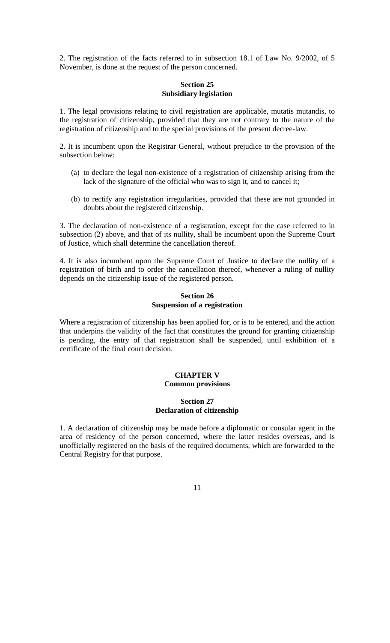2. The registration of the facts referred to in subsection 18.1 of Law No. 9/2002, of 5 November, is done at the request of the person concerned.

### **Section 25 Subsidiary legislation**

1. The legal provisions relating to civil registration are applicable, mutatis mutandis, to the registration of citizenship, provided that they are not contrary to the nature of the registration of citizenship and to the special provisions of the present decree-law.

2. It is incumbent upon the Registrar General, without prejudice to the provision of the subsection below:

- (a) to declare the legal non-existence of a registration of citizenship arising from the lack of the signature of the official who was to sign it, and to cancel it;
- (b) to rectify any registration irregularities, provided that these are not grounded in doubts about the registered citizenship.

3. The declaration of non-existence of a registration, except for the case referred to in subsection (2) above, and that of its nullity, shall be incumbent upon the Supreme Court of Justice, which shall determine the cancellation thereof.

4. It is also incumbent upon the Supreme Court of Justice to declare the nullity of a registration of birth and to order the cancellation thereof, whenever a ruling of nullity depends on the citizenship issue of the registered person.

# **Section 26 Suspension of a registration**

Where a registration of citizenship has been applied for, or is to be entered, and the action that underpins the validity of the fact that constitutes the ground for granting citizenship is pending, the entry of that registration shall be suspended, until exhibition of a certificate of the final court decision.

# **CHAPTER V Common provisions**

## **Section 27 Declaration of citizenship**

1. A declaration of citizenship may be made before a diplomatic or consular agent in the area of residency of the person concerned, where the latter resides overseas, and is unofficially registered on the basis of the required documents, which are forwarded to the Central Registry for that purpose.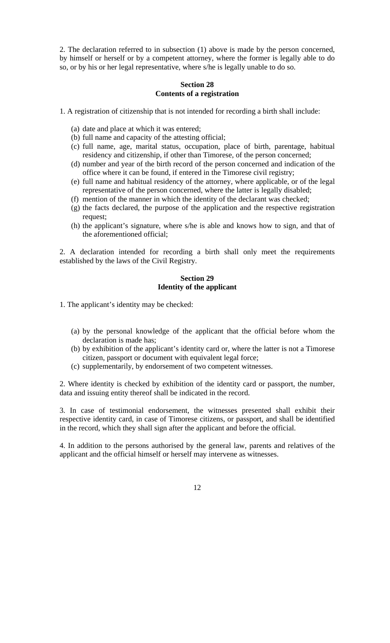2. The declaration referred to in subsection (1) above is made by the person concerned, by himself or herself or by a competent attorney, where the former is legally able to do so, or by his or her legal representative, where s/he is legally unable to do so.

### **Section 28 Contents of a registration**

1. A registration of citizenship that is not intended for recording a birth shall include:

- (a) date and place at which it was entered;
- (b) full name and capacity of the attesting official;
- (c) full name, age, marital status, occupation, place of birth, parentage, habitual residency and citizenship, if other than Timorese, of the person concerned;
- (d) number and year of the birth record of the person concerned and indication of the office where it can be found, if entered in the Timorese civil registry;
- (e) full name and habitual residency of the attorney, where applicable, or of the legal representative of the person concerned, where the latter is legally disabled;
- (f) mention of the manner in which the identity of the declarant was checked;
- (g) the facts declared, the purpose of the application and the respective registration request;
- (h) the applicant's signature, where s/he is able and knows how to sign, and that of the aforementioned official;

2. A declaration intended for recording a birth shall only meet the requirements established by the laws of the Civil Registry.

### **Section 29 Identity of the applicant**

- 1. The applicant's identity may be checked:
	- (a) by the personal knowledge of the applicant that the official before whom the declaration is made has;
	- (b) by exhibition of the applicant's identity card or, where the latter is not a Timorese citizen, passport or document with equivalent legal force;
	- (c) supplementarily, by endorsement of two competent witnesses.

2. Where identity is checked by exhibition of the identity card or passport, the number, data and issuing entity thereof shall be indicated in the record.

3. In case of testimonial endorsement, the witnesses presented shall exhibit their respective identity card, in case of Timorese citizens, or passport, and shall be identified in the record, which they shall sign after the applicant and before the official.

4. In addition to the persons authorised by the general law, parents and relatives of the applicant and the official himself or herself may intervene as witnesses.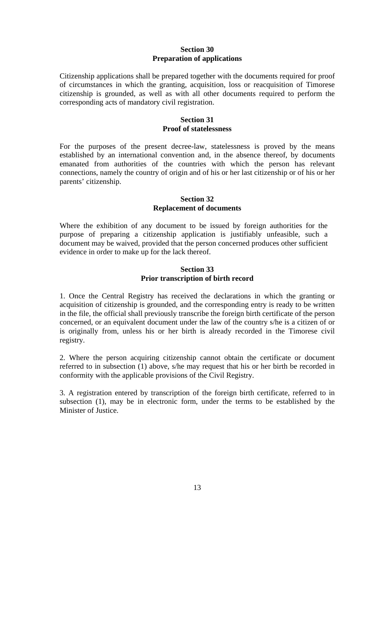## **Section 30 Preparation of applications**

Citizenship applications shall be prepared together with the documents required for proof of circumstances in which the granting, acquisition, loss or reacquisition of Timorese citizenship is grounded, as well as with all other documents required to perform the corresponding acts of mandatory civil registration.

### **Section 31 Proof of statelessness**

For the purposes of the present decree-law, statelessness is proved by the means established by an international convention and, in the absence thereof, by documents emanated from authorities of the countries with which the person has relevant connections, namely the country of origin and of his or her last citizenship or of his or her parents' citizenship.

#### **Section 32 Replacement of documents**

Where the exhibition of any document to be issued by foreign authorities for the purpose of preparing a citizenship application is justifiably unfeasible, such a document may be waived, provided that the person concerned produces other sufficient evidence in order to make up for the lack thereof.

### **Section 33 Prior transcription of birth record**

1. Once the Central Registry has received the declarations in which the granting or acquisition of citizenship is grounded, and the corresponding entry is ready to be written in the file, the official shall previously transcribe the foreign birth certificate of the person concerned, or an equivalent document under the law of the country s/he is a citizen of or is originally from, unless his or her birth is already recorded in the Timorese civil registry.

2. Where the person acquiring citizenship cannot obtain the certificate or document referred to in subsection (1) above, s/he may request that his or her birth be recorded in conformity with the applicable provisions of the Civil Registry.

3. A registration entered by transcription of the foreign birth certificate, referred to in subsection (1), may be in electronic form, under the terms to be established by the Minister of Justice.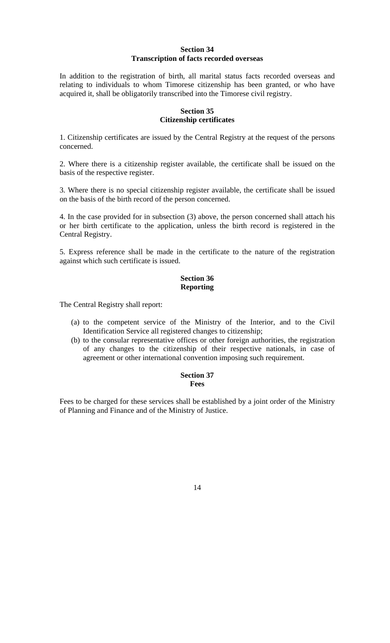### **Section 34 Transcription of facts recorded overseas**

In addition to the registration of birth, all marital status facts recorded overseas and relating to individuals to whom Timorese citizenship has been granted, or who have acquired it, shall be obligatorily transcribed into the Timorese civil registry.

### **Section 35 Citizenship certificates**

1. Citizenship certificates are issued by the Central Registry at the request of the persons concerned.

2. Where there is a citizenship register available, the certificate shall be issued on the basis of the respective register.

3. Where there is no special citizenship register available, the certificate shall be issued on the basis of the birth record of the person concerned.

4. In the case provided for in subsection (3) above, the person concerned shall attach his or her birth certificate to the application, unless the birth record is registered in the Central Registry.

5. Express reference shall be made in the certificate to the nature of the registration against which such certificate is issued.

## **Section 36 Reporting**

The Central Registry shall report:

- (a) to the competent service of the Ministry of the Interior, and to the Civil Identification Service all registered changes to citizenship;
- (b) to the consular representative offices or other foreign authorities, the registration of any changes to the citizenship of their respective nationals, in case of agreement or other international convention imposing such requirement.

### **Section 37 Fees**

Fees to be charged for these services shall be established by a joint order of the Ministry of Planning and Finance and of the Ministry of Justice.